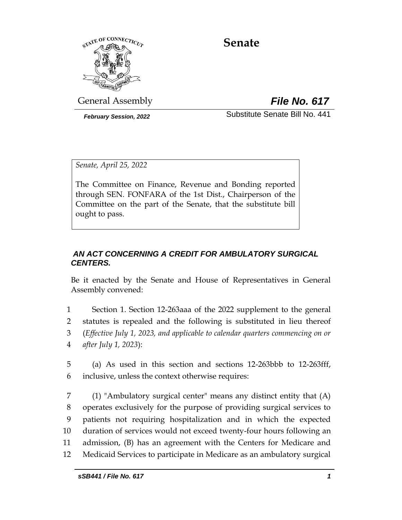

# **Senate**

General Assembly *File No. 617*

*February Session, 2022* Substitute Senate Bill No. 441

*Senate, April 25, 2022*

The Committee on Finance, Revenue and Bonding reported through SEN. FONFARA of the 1st Dist., Chairperson of the Committee on the part of the Senate, that the substitute bill ought to pass.

## *AN ACT CONCERNING A CREDIT FOR AMBULATORY SURGICAL CENTERS.*

Be it enacted by the Senate and House of Representatives in General Assembly convened:

 Section 1. Section 12-263aaa of the 2022 supplement to the general statutes is repealed and the following is substituted in lieu thereof (*Effective July 1, 2023, and applicable to calendar quarters commencing on or after July 1, 2023*):

5 (a) As used in this section and sections 12-263bbb to 12-263fff, 6 inclusive, unless the context otherwise requires:

 (1) "Ambulatory surgical center" means any distinct entity that (A) operates exclusively for the purpose of providing surgical services to patients not requiring hospitalization and in which the expected duration of services would not exceed twenty-four hours following an admission, (B) has an agreement with the Centers for Medicare and Medicaid Services to participate in Medicare as an ambulatory surgical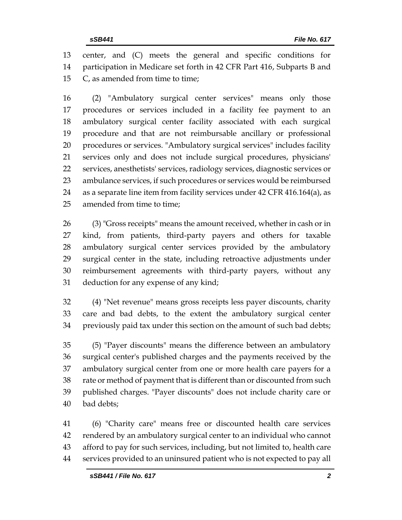center, and (C) meets the general and specific conditions for participation in Medicare set forth in 42 CFR Part 416, Subparts B and C, as amended from time to time;

 (2) "Ambulatory surgical center services" means only those procedures or services included in a facility fee payment to an ambulatory surgical center facility associated with each surgical procedure and that are not reimbursable ancillary or professional procedures or services. "Ambulatory surgical services" includes facility services only and does not include surgical procedures, physicians' services, anesthetists' services, radiology services, diagnostic services or ambulance services, if such procedures or services would be reimbursed as a separate line item from facility services under 42 CFR 416.164(a), as amended from time to time;

 (3) "Gross receipts" means the amount received, whether in cash or in kind, from patients, third-party payers and others for taxable ambulatory surgical center services provided by the ambulatory surgical center in the state, including retroactive adjustments under reimbursement agreements with third-party payers, without any deduction for any expense of any kind;

 (4) "Net revenue" means gross receipts less payer discounts, charity care and bad debts, to the extent the ambulatory surgical center previously paid tax under this section on the amount of such bad debts;

 (5) "Payer discounts" means the difference between an ambulatory surgical center's published charges and the payments received by the ambulatory surgical center from one or more health care payers for a rate or method of payment that is different than or discounted from such published charges. "Payer discounts" does not include charity care or bad debts;

 (6) "Charity care" means free or discounted health care services rendered by an ambulatory surgical center to an individual who cannot afford to pay for such services, including, but not limited to, health care services provided to an uninsured patient who is not expected to pay all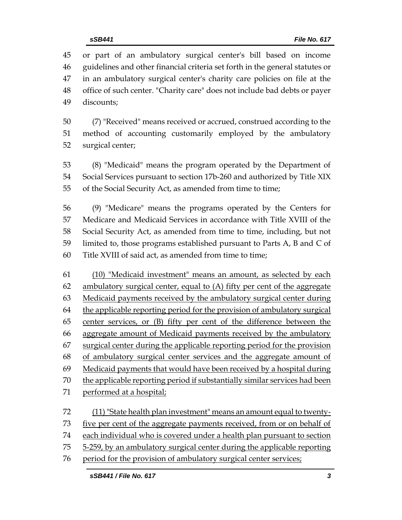or part of an ambulatory surgical center's bill based on income guidelines and other financial criteria set forth in the general statutes or in an ambulatory surgical center's charity care policies on file at the office of such center. "Charity care" does not include bad debts or payer discounts;

 (7) "Received" means received or accrued, construed according to the method of accounting customarily employed by the ambulatory surgical center;

 (8) "Medicaid" means the program operated by the Department of Social Services pursuant to section 17b-260 and authorized by Title XIX of the Social Security Act, as amended from time to time;

 (9) "Medicare" means the programs operated by the Centers for Medicare and Medicaid Services in accordance with Title XVIII of the Social Security Act, as amended from time to time, including, but not limited to, those programs established pursuant to Parts A, B and C of Title XVIII of said act, as amended from time to time;

 (10) "Medicaid investment" means an amount, as selected by each 62 ambulatory surgical center, equal to  $(A)$  fifty per cent of the aggregate Medicaid payments received by the ambulatory surgical center during 64 the applicable reporting period for the provision of ambulatory surgical center services, or (B) fifty per cent of the difference between the aggregate amount of Medicaid payments received by the ambulatory 67 surgical center during the applicable reporting period for the provision of ambulatory surgical center services and the aggregate amount of Medicaid payments that would have been received by a hospital during the applicable reporting period if substantially similar services had been performed at a hospital;

 (11) "State health plan investment" means an amount equal to twenty- five per cent of the aggregate payments received, from or on behalf of 74 each individual who is covered under a health plan pursuant to section 75 5-259, by an ambulatory surgical center during the applicable reporting

period for the provision of ambulatory surgical center services;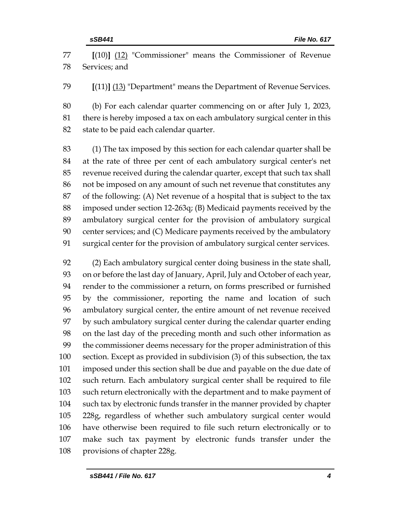**[**(10)**]** (12) "Commissioner" means the Commissioner of Revenue Services; and

**[**(11)**]** (13) "Department" means the Department of Revenue Services.

 (b) For each calendar quarter commencing on or after July 1, 2023, there is hereby imposed a tax on each ambulatory surgical center in this state to be paid each calendar quarter.

 (1) The tax imposed by this section for each calendar quarter shall be at the rate of three per cent of each ambulatory surgical center's net revenue received during the calendar quarter, except that such tax shall not be imposed on any amount of such net revenue that constitutes any of the following: (A) Net revenue of a hospital that is subject to the tax imposed under section 12-263q; (B) Medicaid payments received by the ambulatory surgical center for the provision of ambulatory surgical center services; and (C) Medicare payments received by the ambulatory surgical center for the provision of ambulatory surgical center services.

 (2) Each ambulatory surgical center doing business in the state shall, on or before the last day of January, April, July and October of each year, render to the commissioner a return, on forms prescribed or furnished by the commissioner, reporting the name and location of such ambulatory surgical center, the entire amount of net revenue received by such ambulatory surgical center during the calendar quarter ending on the last day of the preceding month and such other information as the commissioner deems necessary for the proper administration of this section. Except as provided in subdivision (3) of this subsection, the tax imposed under this section shall be due and payable on the due date of such return. Each ambulatory surgical center shall be required to file such return electronically with the department and to make payment of such tax by electronic funds transfer in the manner provided by chapter 228g, regardless of whether such ambulatory surgical center would have otherwise been required to file such return electronically or to make such tax payment by electronic funds transfer under the provisions of chapter 228g.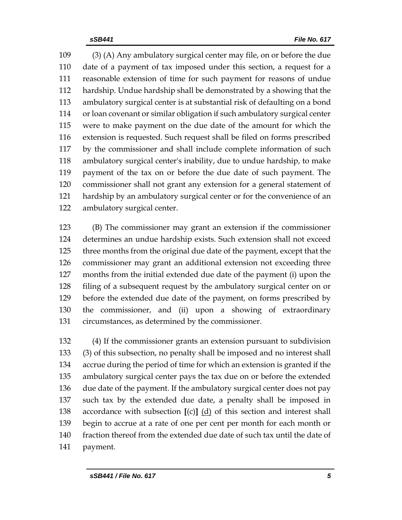(3) (A) Any ambulatory surgical center may file, on or before the due date of a payment of tax imposed under this section, a request for a reasonable extension of time for such payment for reasons of undue hardship. Undue hardship shall be demonstrated by a showing that the ambulatory surgical center is at substantial risk of defaulting on a bond or loan covenant or similar obligation if such ambulatory surgical center were to make payment on the due date of the amount for which the extension is requested. Such request shall be filed on forms prescribed by the commissioner and shall include complete information of such ambulatory surgical center's inability, due to undue hardship, to make payment of the tax on or before the due date of such payment. The commissioner shall not grant any extension for a general statement of hardship by an ambulatory surgical center or for the convenience of an ambulatory surgical center.

 (B) The commissioner may grant an extension if the commissioner determines an undue hardship exists. Such extension shall not exceed three months from the original due date of the payment, except that the commissioner may grant an additional extension not exceeding three months from the initial extended due date of the payment (i) upon the filing of a subsequent request by the ambulatory surgical center on or before the extended due date of the payment, on forms prescribed by the commissioner, and (ii) upon a showing of extraordinary circumstances, as determined by the commissioner.

 (4) If the commissioner grants an extension pursuant to subdivision (3) of this subsection, no penalty shall be imposed and no interest shall accrue during the period of time for which an extension is granted if the ambulatory surgical center pays the tax due on or before the extended due date of the payment. If the ambulatory surgical center does not pay such tax by the extended due date, a penalty shall be imposed in accordance with subsection **[**(c)**]** (d) of this section and interest shall begin to accrue at a rate of one per cent per month for each month or fraction thereof from the extended due date of such tax until the date of payment.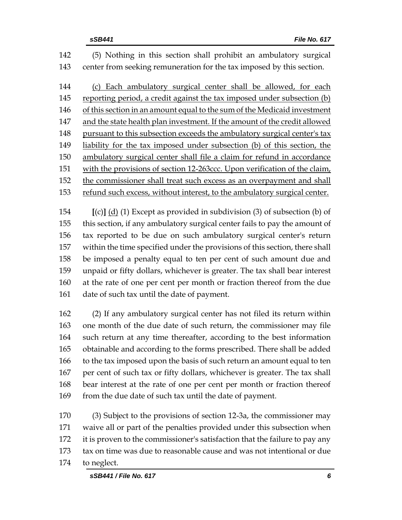(5) Nothing in this section shall prohibit an ambulatory surgical center from seeking remuneration for the tax imposed by this section. 144 (c) Each ambulatory surgical center shall be allowed, for each reporting period, a credit against the tax imposed under subsection (b) 146 of this section in an amount equal to the sum of the Medicaid investment 147 and the state health plan investment. If the amount of the credit allowed pursuant to this subsection exceeds the ambulatory surgical center's tax liability for the tax imposed under subsection (b) of this section, the ambulatory surgical center shall file a claim for refund in accordance with the provisions of section 12-263ccc. Upon verification of the claim, the commissioner shall treat such excess as an overpayment and shall refund such excess, without interest, to the ambulatory surgical center.

 **[**(c)**]** (d) (1) Except as provided in subdivision (3) of subsection (b) of this section, if any ambulatory surgical center fails to pay the amount of tax reported to be due on such ambulatory surgical center's return within the time specified under the provisions of this section, there shall be imposed a penalty equal to ten per cent of such amount due and unpaid or fifty dollars, whichever is greater. The tax shall bear interest at the rate of one per cent per month or fraction thereof from the due date of such tax until the date of payment.

 (2) If any ambulatory surgical center has not filed its return within one month of the due date of such return, the commissioner may file such return at any time thereafter, according to the best information obtainable and according to the forms prescribed. There shall be added to the tax imposed upon the basis of such return an amount equal to ten per cent of such tax or fifty dollars, whichever is greater. The tax shall bear interest at the rate of one per cent per month or fraction thereof 169 from the due date of such tax until the date of payment.

 (3) Subject to the provisions of section 12-3a, the commissioner may waive all or part of the penalties provided under this subsection when it is proven to the commissioner's satisfaction that the failure to pay any tax on time was due to reasonable cause and was not intentional or due to neglect.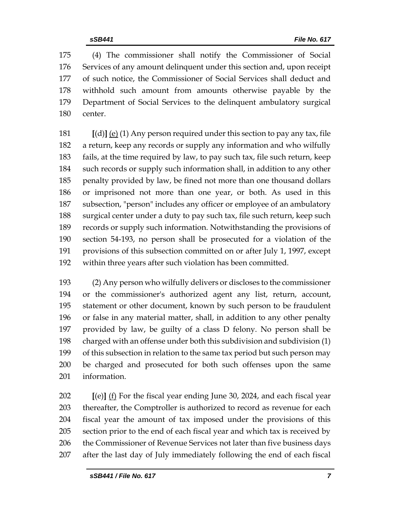(4) The commissioner shall notify the Commissioner of Social Services of any amount delinquent under this section and, upon receipt of such notice, the Commissioner of Social Services shall deduct and withhold such amount from amounts otherwise payable by the Department of Social Services to the delinquent ambulatory surgical center.

 **[**(d)**]** (e) (1) Any person required under this section to pay any tax, file a return, keep any records or supply any information and who wilfully fails, at the time required by law, to pay such tax, file such return, keep such records or supply such information shall, in addition to any other penalty provided by law, be fined not more than one thousand dollars or imprisoned not more than one year, or both. As used in this subsection, "person" includes any officer or employee of an ambulatory surgical center under a duty to pay such tax, file such return, keep such records or supply such information. Notwithstanding the provisions of section 54-193, no person shall be prosecuted for a violation of the provisions of this subsection committed on or after July 1, 1997, except within three years after such violation has been committed.

 (2) Any person who wilfully delivers or discloses to the commissioner or the commissioner's authorized agent any list, return, account, statement or other document, known by such person to be fraudulent or false in any material matter, shall, in addition to any other penalty provided by law, be guilty of a class D felony. No person shall be charged with an offense under both this subdivision and subdivision (1) of this subsection in relation to the same tax period but such person may be charged and prosecuted for both such offenses upon the same information.

 **[**(e)**]** (f) For the fiscal year ending June 30, 2024, and each fiscal year 203 thereafter, the Comptroller is authorized to record as revenue for each fiscal year the amount of tax imposed under the provisions of this section prior to the end of each fiscal year and which tax is received by 206 the Commissioner of Revenue Services not later than five business days after the last day of July immediately following the end of each fiscal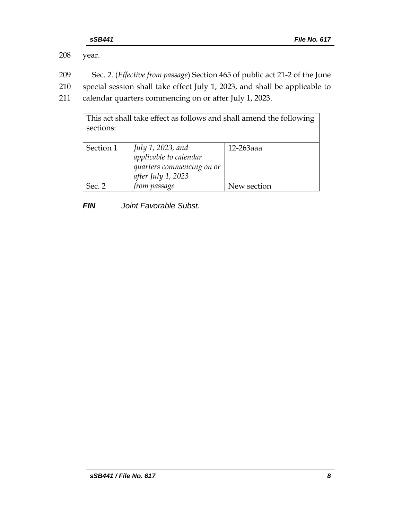208 year.

- 209 Sec. 2. (*Effective from passage*) Section 465 of public act 21-2 of the June
- 210 special session shall take effect July 1, 2023, and shall be applicable to
- 211 calendar quarters commencing on or after July 1, 2023.

| This act shall take effect as follows and shall amend the following<br>sections: |                                                                                                |             |  |  |
|----------------------------------------------------------------------------------|------------------------------------------------------------------------------------------------|-------------|--|--|
| Section 1                                                                        | July 1, 2023, and<br>applicable to calendar<br>quarters commencing on or<br>after July 1, 2023 | 12-263aaa   |  |  |
| Sec. 2                                                                           | from passage                                                                                   | New section |  |  |

*FIN Joint Favorable Subst.*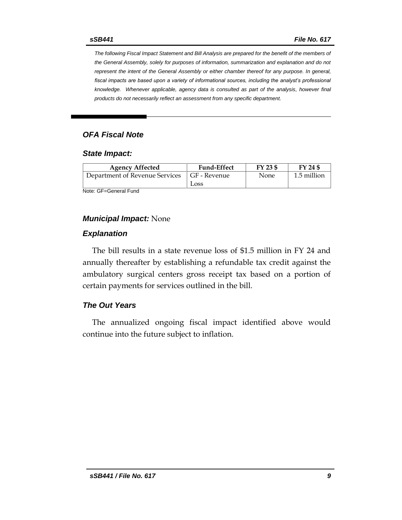*The following Fiscal Impact Statement and Bill Analysis are prepared for the benefit of the members of the General Assembly, solely for purposes of information, summarization and explanation and do not represent the intent of the General Assembly or either chamber thereof for any purpose. In general,*  fiscal impacts are based upon a variety of informational sources, including the analyst's professional *knowledge. Whenever applicable, agency data is consulted as part of the analysis, however final products do not necessarily reflect an assessment from any specific department.*

## *OFA Fiscal Note*

#### *State Impact:*

| <b>Agency Affected</b>                        | <b>Fund-Effect</b> | FY 23 \$ | FY 24 \$    |
|-----------------------------------------------|--------------------|----------|-------------|
| Department of Revenue Services   GF - Revenue |                    | None     | 1.5 million |
|                                               | Loss               |          |             |

Note: GF=General Fund

### *Municipal Impact:* None

#### *Explanation*

The bill results in a state revenue loss of \$1.5 million in FY 24 and annually thereafter by establishing a refundable tax credit against the ambulatory surgical centers gross receipt tax based on a portion of certain payments for services outlined in the bill.

#### *The Out Years*

The annualized ongoing fiscal impact identified above would continue into the future subject to inflation.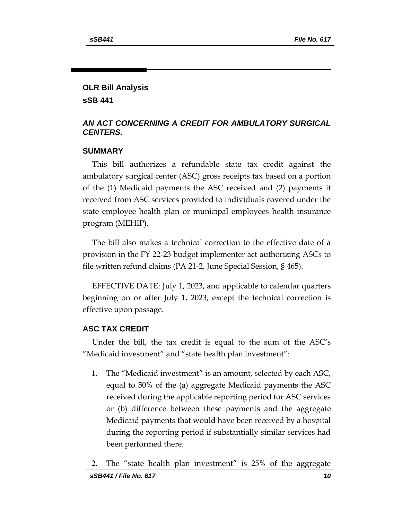## **OLR Bill Analysis**

**sSB 441**

## *AN ACT CONCERNING A CREDIT FOR AMBULATORY SURGICAL CENTERS.*

## **SUMMARY**

This bill authorizes a refundable state tax credit against the ambulatory surgical center (ASC) gross receipts tax based on a portion of the (1) Medicaid payments the ASC received and (2) payments it received from ASC services provided to individuals covered under the state employee health plan or municipal employees health insurance program (MEHIP).

The bill also makes a technical correction to the effective date of a provision in the FY 22-23 budget implementer act authorizing ASCs to file written refund claims (PA 21-2, June Special Session, § 465).

EFFECTIVE DATE: July 1, 2023, and applicable to calendar quarters beginning on or after July 1, 2023, except the technical correction is effective upon passage.

## **ASC TAX CREDIT**

Under the bill, the tax credit is equal to the sum of the ASC's "Medicaid investment" and "state health plan investment":

1. The "Medicaid investment" is an amount, selected by each ASC, equal to 50% of the (a) aggregate Medicaid payments the ASC received during the applicable reporting period for ASC services or (b) difference between these payments and the aggregate Medicaid payments that would have been received by a hospital during the reporting period if substantially similar services had been performed there.

*sSB441 / File No. 617 10* 2. The "state health plan investment" is 25% of the aggregate